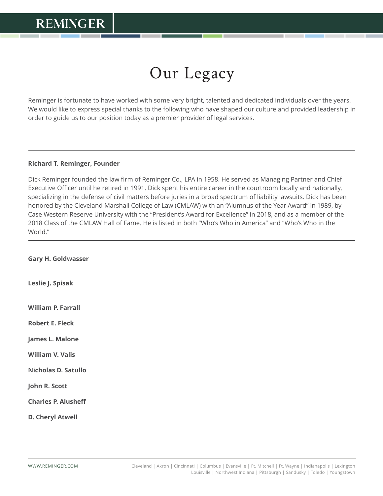## Our Legacy

Reminger is fortunate to have worked with some very bright, talented and dedicated individuals over the years. We would like to express special thanks to the following who have shaped our culture and provided leadership in order to guide us to our position today as a premier provider of legal services.

## **Richard T. Reminger, Founder**

 $\overline{a}$ 

Dick Reminger founded the law firm of Reminger Co., LPA in 1958. He served as Managing Partner and Chief Executive Officer until he retired in 1991. Dick spent his entire career in the courtroom locally and nationally, specializing in the defense of civil matters before juries in a broad spectrum of liability lawsuits. Dick has been honored by the Cleveland Marshall College of Law (CMLAW) with an "Alumnus of the Year Award" in 1989, by Case Western Reserve University with the "President's Award for Excellence" in 2018, and as a member of the 2018 Class of the CMLAW Hall of Fame. He is listed in both "Who's Who in America" and "Who's Who in the World."  $\overline{a}$ 

**Gary H. Goldwasser**

**Leslie J. Spisak**

**William P. Farrall**

**Robert E. Fleck**

**James L. Malone**

**William V. Valis**

**Nicholas D. Satullo**

**John R. Scott**

**Charles P. Alusheff**

**D. Cheryl Atwell**